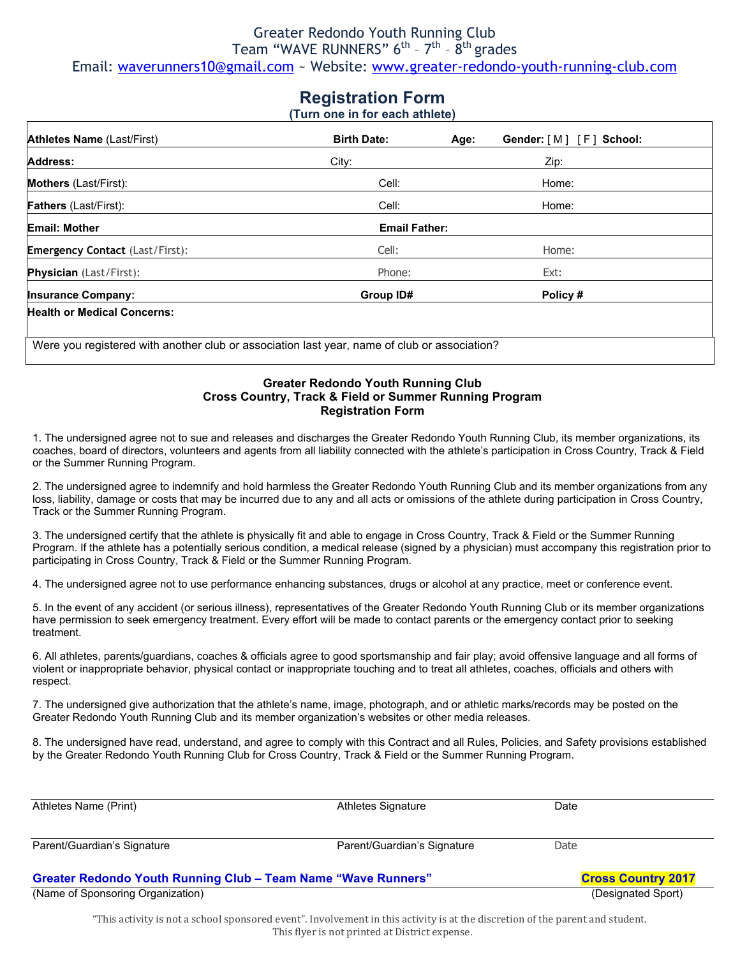#### Greater Redondo Youth Running Club Team "WAVE RUNNERS" 6<sup>th</sup> - 7<sup>th</sup> - 8<sup>th</sup> grades Email: waverunners10@gmail.com ~ Website: www.greater-redondo-youth-running-club.com

# **Registration Form**

**(Turn one in for each athlete)**

| <b>Athletes Name (Last/First)</b>      | <b>Birth Date:</b>   | Gender: [M] [F] School:<br>Age: |  |  |
|----------------------------------------|----------------------|---------------------------------|--|--|
| <b>Address:</b>                        | City:                | Zip:                            |  |  |
| <b>Mothers</b> (Last/First):           | Cell:                | Home:                           |  |  |
| <b>Fathers</b> (Last/First):           | Cell:                | Home:                           |  |  |
| <b>Email: Mother</b>                   | <b>Email Father:</b> |                                 |  |  |
| <b>Emergency Contact (Last/First):</b> | Cell:                | Home:                           |  |  |
| <b>Physician</b> (Last/First):         | Phone:               | Ext:                            |  |  |
| <b>Insurance Company:</b>              | Group ID#            | Policy#                         |  |  |
| <b>Health or Medical Concerns:</b>     |                      |                                 |  |  |

#### **Greater Redondo Youth Running Club Cross Country, Track & Field or Summer Running Program Registration Form**

1. The undersigned agree not to sue and releases and discharges the Greater Redondo Youth Running Club, its member organizations, its coaches, board of directors, volunteers and agents from all liability connected with the athlete's participation in Cross Country, Track & Field or the Summer Running Program.

2. The undersigned agree to indemnify and hold harmless the Greater Redondo Youth Running Club and its member organizations from any loss, liability, damage or costs that may be incurred due to any and all acts or omissions of the athlete during participation in Cross Country, Track or the Summer Running Program.

3. The undersigned certify that the athlete is physically fit and able to engage in Cross Country, Track & Field or the Summer Running Program. If the athlete has a potentially serious condition, a medical release (signed by a physician) must accompany this registration prior to participating in Cross Country, Track & Field or the Summer Running Program.

4. The undersigned agree not to use performance enhancing substances, drugs or alcohol at any practice, meet or conference event.

5. In the event of any accident (or serious illness), representatives of the Greater Redondo Youth Running Club or its member organizations have permission to seek emergency treatment. Every effort will be made to contact parents or the emergency contact prior to seeking treatment.

6. All athletes, parents/guardians, coaches & officials agree to good sportsmanship and fair play; avoid offensive language and all forms of violent or inappropriate behavior, physical contact or inappropriate touching and to treat all athletes, coaches, officials and others with respect.

7. The undersigned give authorization that the athlete's name, image, photograph, and or athletic marks/records may be posted on the Greater Redondo Youth Running Club and its member organization's websites or other media releases.

8. The undersigned have read, understand, and agree to comply with this Contract and all Rules, Policies, and Safety provisions established by the Greater Redondo Youth Running Club for Cross Country, Track & Field or the Summer Running Program.

| Athletes Name (Print)                                                | Athletes Signature          | Date               |  |
|----------------------------------------------------------------------|-----------------------------|--------------------|--|
| Parent/Guardian's Signature                                          | Parent/Guardian's Signature | Date               |  |
| <b>Greater Redondo Youth Running Club - Team Name "Wave Runners"</b> | <b>Cross Country 2017</b>   |                    |  |
| (Name of Sponsoring Organization)                                    |                             | (Designated Sport) |  |

"This activity is not a school sponsored event". Involvement in this activity is at the discretion of the parent and student. This flyer is not printed at District expense.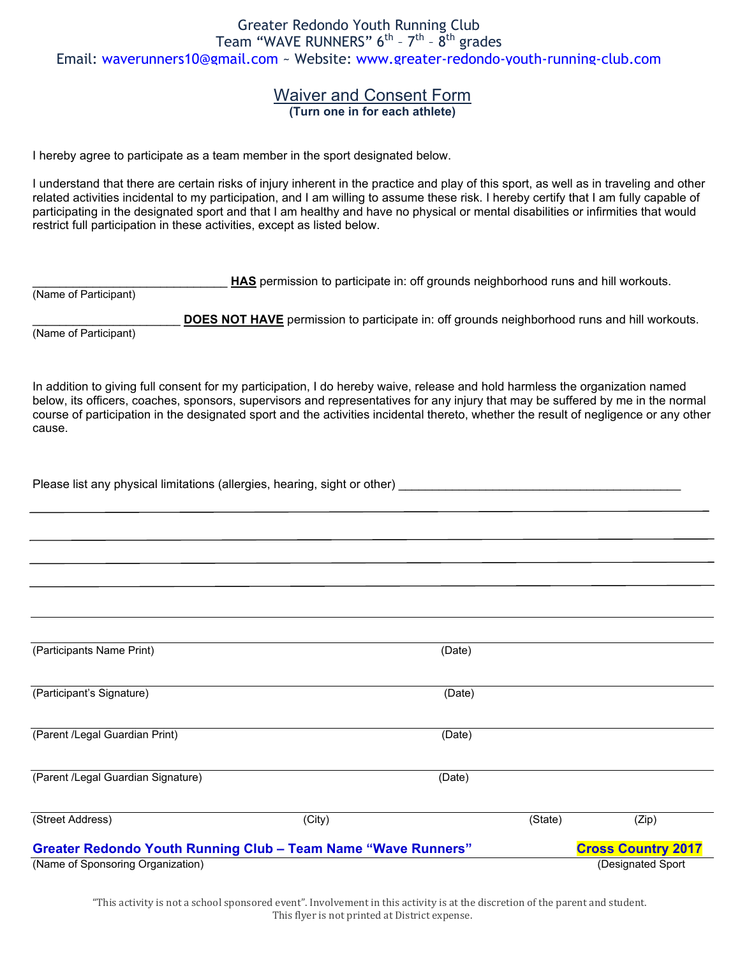#### Waiver and Consent Form **(Turn one in for each athlete)**

I hereby agree to participate as a team member in the sport designated below.

I understand that there are certain risks of injury inherent in the practice and play of this sport, as well as in traveling and other related activities incidental to my participation, and I am willing to assume these risk. I hereby certify that I am fully capable of participating in the designated sport and that I am healthy and have no physical or mental disabilities or infirmities that would restrict full participation in these activities, except as listed below.

\_\_\_\_\_\_\_\_\_\_\_\_\_\_\_\_\_\_\_\_\_\_\_\_\_\_\_\_\_ **HAS** permission to participate in: off grounds neighborhood runs and hill workouts.

(Name of Participant)

DOES NOT HAVE permission to participate in: off grounds neighborhood runs and hill workouts.

(Name of Participant)

In addition to giving full consent for my participation, I do hereby waive, release and hold harmless the organization named below, its officers, coaches, sponsors, supervisors and representatives for any injury that may be suffered by me in the normal course of participation in the designated sport and the activities incidental thereto, whether the result of negligence or any other cause.

| Please list any physical limitations (allergies, hearing, sight or other) |  |
|---------------------------------------------------------------------------|--|
|                                                                           |  |

| (Participants Name Print)          | (Date)                                                               |         |                           |
|------------------------------------|----------------------------------------------------------------------|---------|---------------------------|
| (Participant's Signature)          | (Date)                                                               |         |                           |
| (Parent /Legal Guardian Print)     | (Date)                                                               |         |                           |
| (Parent /Legal Guardian Signature) | (Date)                                                               |         |                           |
| (Street Address)                   | (City)                                                               | (State) | (Zip)                     |
|                                    | <b>Greater Redondo Youth Running Club - Team Name "Wave Runners"</b> |         | <b>Cross Country 2017</b> |
| (Name of Sponsoring Organization)  |                                                                      |         | (Designated Sport)        |

"This activity is not a school sponsored event". Involvement in this activity is at the discretion of the parent and student. This flyer is not printed at District expense.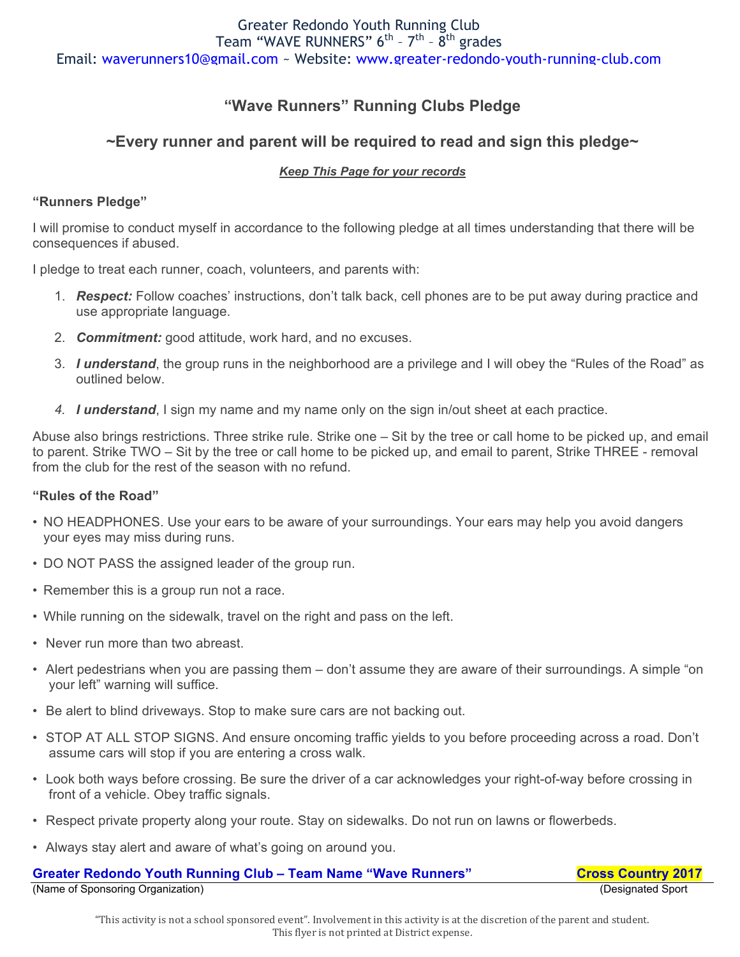## **"Wave Runners" Running Clubs Pledge**

## **~Every runner and parent will be required to read and sign this pledge~**

#### *Keep This Page for your records*

#### **"Runners Pledge"**

I will promise to conduct myself in accordance to the following pledge at all times understanding that there will be consequences if abused.

I pledge to treat each runner, coach, volunteers, and parents with:

- 1. *Respect:* Follow coaches' instructions, don't talk back, cell phones are to be put away during practice and use appropriate language.
- 2. *Commitment:* good attitude, work hard, and no excuses.
- 3. *I understand*, the group runs in the neighborhood are a privilege and I will obey the "Rules of the Road" as outlined below.
- *4. I understand*, I sign my name and my name only on the sign in/out sheet at each practice.

Abuse also brings restrictions. Three strike rule. Strike one – Sit by the tree or call home to be picked up, and email to parent. Strike TWO – Sit by the tree or call home to be picked up, and email to parent, Strike THREE - removal from the club for the rest of the season with no refund.

#### **"Rules of the Road"**

- NO HEADPHONES. Use your ears to be aware of your surroundings. Your ears may help you avoid dangers your eyes may miss during runs.
- DO NOT PASS the assigned leader of the group run.
- Remember this is a group run not a race.
- While running on the sidewalk, travel on the right and pass on the left.
- Never run more than two abreast.
- Alert pedestrians when you are passing them don't assume they are aware of their surroundings. A simple "on your left" warning will suffice.
- Be alert to blind driveways. Stop to make sure cars are not backing out.
- STOP AT ALL STOP SIGNS. And ensure oncoming traffic yields to you before proceeding across a road. Don't assume cars will stop if you are entering a cross walk.
- Look both ways before crossing. Be sure the driver of a car acknowledges your right-of-way before crossing in front of a vehicle. Obey traffic signals.
- Respect private property along your route. Stay on sidewalks. Do not run on lawns or flowerbeds.
- Always stay alert and aware of what's going on around you.

| <b>Greater Redondo Youth Running Club - Team Name "Wave Runners"</b> | <b>Cross Country 2017</b> |
|----------------------------------------------------------------------|---------------------------|
| (Name of Sponsoring Organization)                                    | (Designated Sport)        |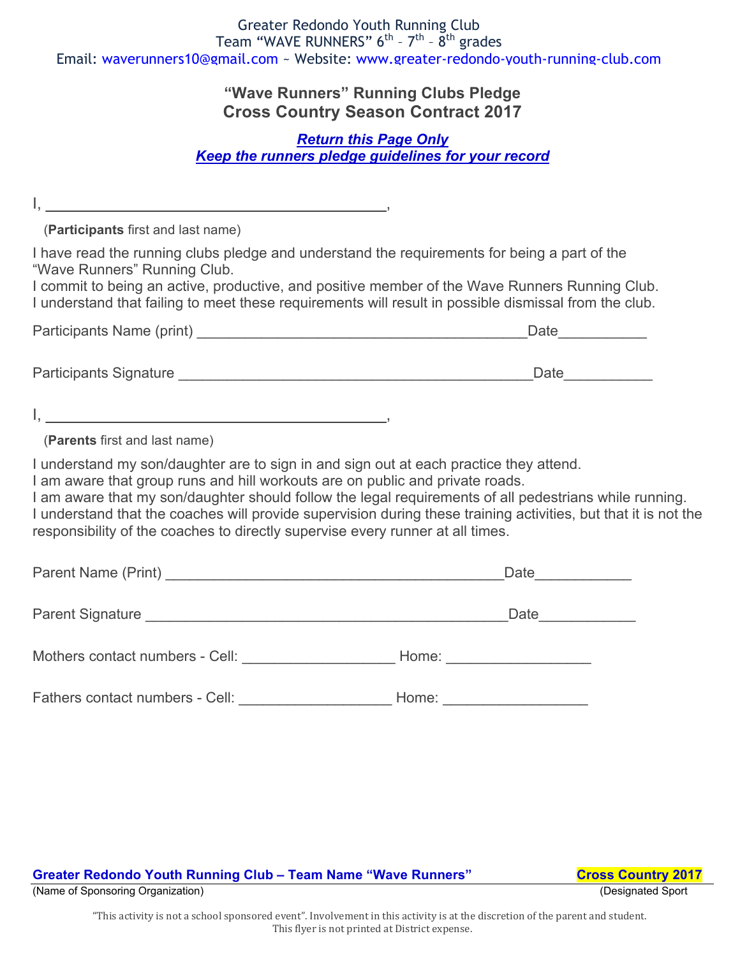## **"Wave Runners" Running Clubs Pledge Cross Country Season Contract 2017**

## *Return this Page Only Keep the runners pledge guidelines for your record*

(**Participants** first and last name)

 $I, \, \, \dots \, \, \dots \, \, \dots \, \, \dots$ 

 $\mathsf{I}, \mathsf{I}, \mathsf{I}$ 

I have read the running clubs pledge and understand the requirements for being a part of the "Wave Runners" Running Club.

I commit to being an active, productive, and positive member of the Wave Runners Running Club. I understand that failing to meet these requirements will result in possible dismissal from the club.

| Participants Name (print) |  |
|---------------------------|--|
|                           |  |

Participants Signature \_\_\_\_\_\_\_\_\_\_\_\_\_\_\_\_\_\_\_\_\_\_\_\_\_\_\_\_\_\_\_\_\_\_\_\_\_\_\_\_\_\_\_\_Date\_\_\_\_\_\_\_\_\_\_\_

(**Parents** first and last name)

I understand my son/daughter are to sign in and sign out at each practice they attend.

I am aware that group runs and hill workouts are on public and private roads.

I am aware that my son/daughter should follow the legal requirements of all pedestrians while running. I understand that the coaches will provide supervision during these training activities, but that it is not the responsibility of the coaches to directly supervise every runner at all times.

|                                 | Date                  |
|---------------------------------|-----------------------|
|                                 | Date                  |
| Mothers contact numbers - Cell: | Home: _______________ |
| Fathers contact numbers - Cell: | Home:                 |

Greater Redondo Youth Running Club - Team Name "Wave Runners" Cross Country 2017

(Name of Sponsoring Organization) (Designated Sport

"This activity is not a school sponsored event". Involvement in this activity is at the discretion of the parent and student. This flyer is not printed at District expense.